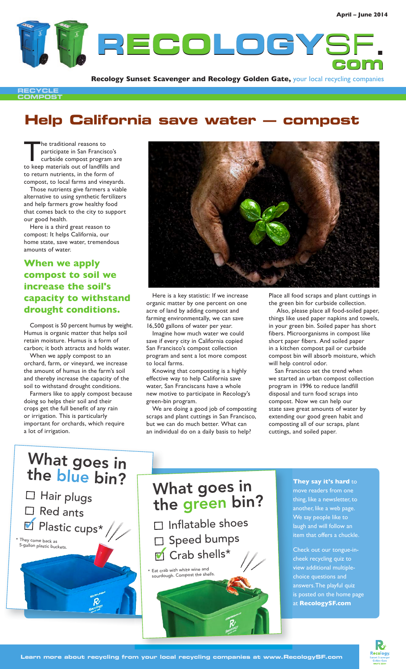

**Recology Sunset Scavenger and Recology Golden Gate,** your local recycling companies

**RECYCLE COMPOST**

## **Help California save water — compost**

The traditional reasons to participate in San Francisco's curbside compost program are to keep materials out of landfills and to return nutrients, in the form of compost, to local farms and vineyards.

Those nutrients give farmers a viable alternative to using synthetic fertilizers and help farmers grow healthy food that comes back to the city to support our good health.

Here is a third great reason to compost: It helps California, our home state, save water, tremendous amounts of water.

### **When we apply compost to soil we increase the soil's capacity to withstand drought conditions.**

Compost is 50 percent humus by weight. Humus is organic matter that helps soil retain moisture. Humus is a form of carbon; it both attracts and holds water.

When we apply compost to an orchard, farm, or vineyard, we increase the amount of humus in the farm's soil and thereby increase the capacity of the soil to withstand drought conditions.

Farmers like to apply compost because doing so helps their soil and their crops get the full benefit of any rain or irrigation. This is particularly important for orchards, which require a lot of irrigation.



Here is a key statistic: If we increase organic matter by one percent on one acre of land by adding compost and farming environmentally, we can save 16,500 gallons of water per year.

Imagine how much water we could save if every city in California copied San Francisco's compost collection program and sent a lot more compost to local farms.

Knowing that composting is a highly effective way to help California save water, San Franciscans have a whole new motive to participate in Recology's green-bin program.

We are doing a good job of composting scraps and plant cuttings in San Francisco, but we can do much better. What can an individual do on a daily basis to help?

Place all food scraps and plant cuttings in the green bin for curbside collection.

 Also, please place all food-soiled paper, things like used paper napkins and towels, in your green bin. Soiled paper has short fibers. Microorganisms in compost like short paper fibers. And soiled paper in a kitchen compost pail or curbside compost bin will absorb moisture, which will help control odor.

San Francisco set the trend when we started an urban compost collection program in 1996 to reduce landfill disposal and turn food scraps into compost. Now we can help our state save great amounts of water by extending our good green habit and composting all of our scraps, plant cuttings, and soiled paper.

# ■ Plastic cups\* What goes in the blue bin?  $\Box$  Hair plugs  $\Box$  Red ants \* They come back as 5-gallon plastic buckets.

## What goes in the green bin?

- $\Box$  Inflatable shoes □ Speed bumps
- $\blacksquare$  Crab shells\*

\* Eat crab with white wine an<sup>d</sup> sourdough. Compost the shells.

#### **They say it's hard** to move readers from one thing, like a newsletter, to another, like a web page. We say people like to laugh and will follow an item that offers a chuckle.

Check out our tongue-incheek recycling quiz to view additional multiplechoice questions and answers. The playful quiz is posted on the home page at **RecologySF.com**

**cology**